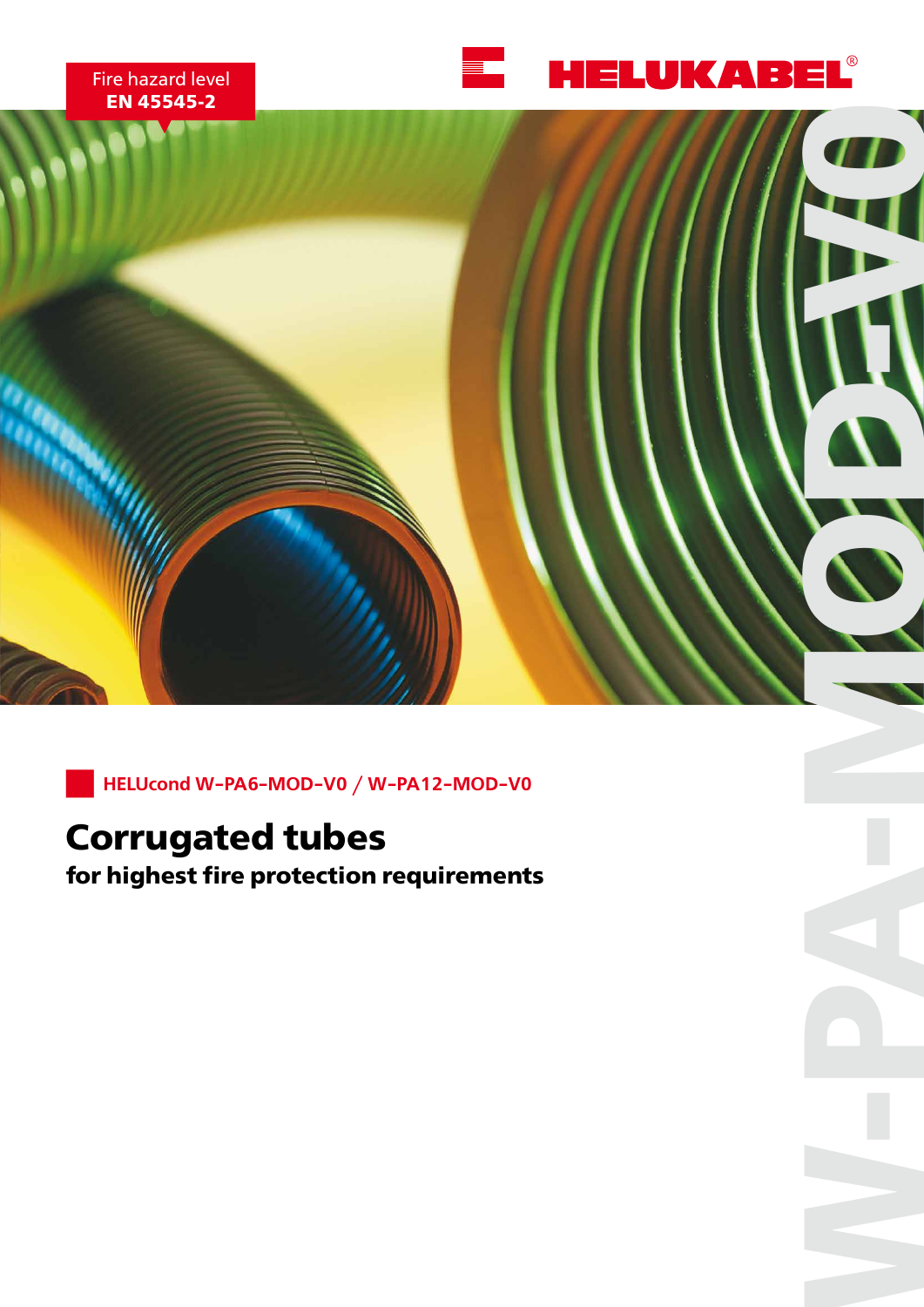



## **Corrugated tubes**

**for HELUcond W-PA6-MOD-V0 / W-PA12-MOD-V0<br>
<b>COITUGATED TUDES**<br> **For highest fire protection requirements**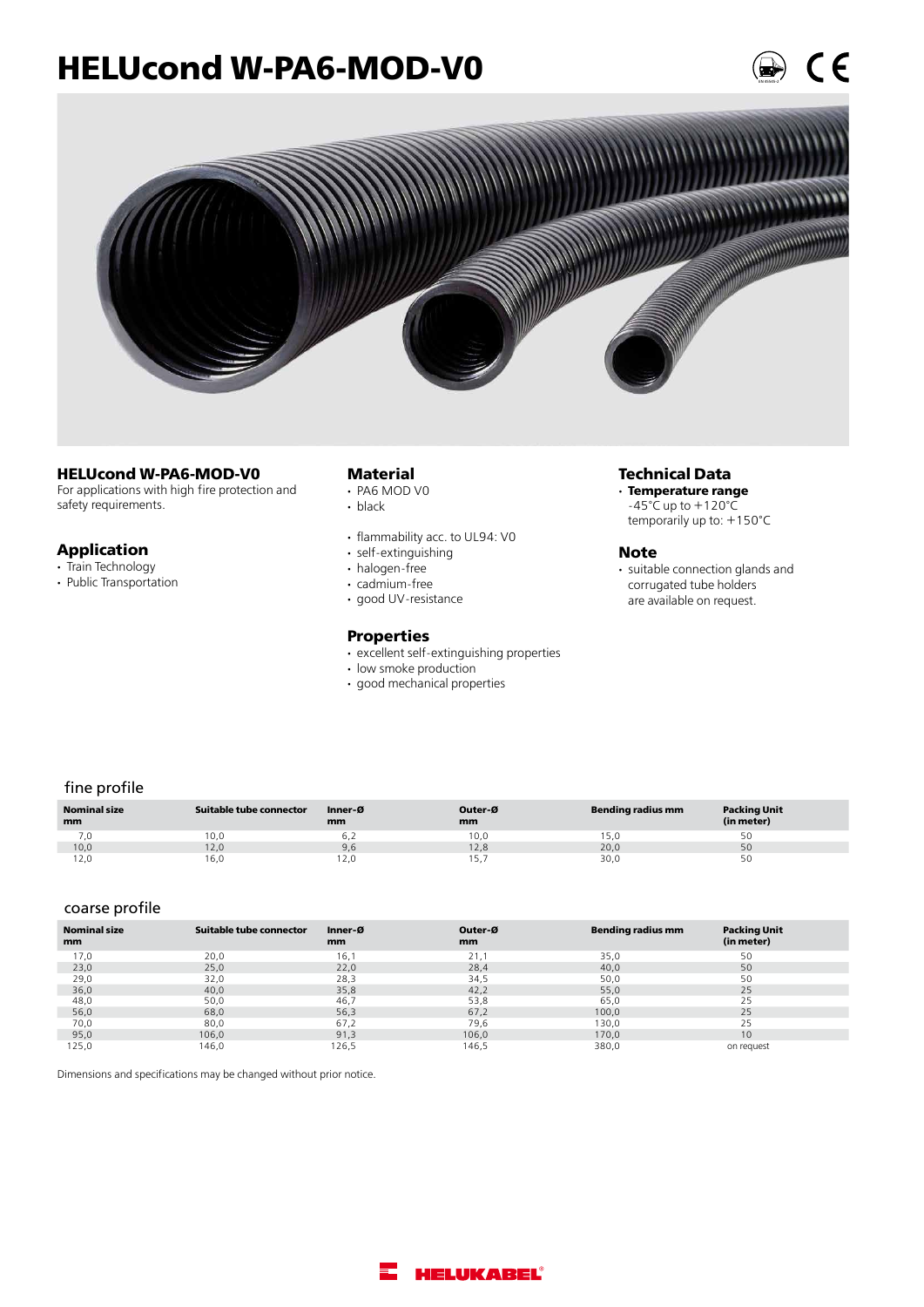## **HELUcond W-PA6-MOD-V0**



#### **HELUcond W-PA6-MOD-V0**

For applications with high fire protection and safety requirements.

#### **Application**

- **·** Train Technology
- **·** Public Transportation

#### **Material**

- **·**  PA6 MOD V0
- black
- flammability acc. to UL94: V0
- self-extinguishing
- halogen-free
- cadmium-free
- good UV-resistance

#### **Properties**

- excellent self-extinguishing properties
- low smoke production
- good mechanical properties

#### **Technical Data**

**· Temperature range**  $-45^{\circ}$ C up to  $+120^{\circ}$ C temporarily up to: +150°C

#### **Note**

• suitable connection glands and corrugated tube holders are available on request.

#### fine profile

| <b>Nominal size</b><br>mm | Suitable tube connector | Inner-Ø<br>mm | Outer-Ø<br>mm | Bending radius mm | <b>Packing Unit</b><br>(in meter) |
|---------------------------|-------------------------|---------------|---------------|-------------------|-----------------------------------|
| 0,'                       | 10,0                    | 6.2           | 10.0          | 5.U               | 5C                                |
| 10,0                      | 12,0                    | 9,6           | 12,8          | 20,0              | 50                                |
| 12.0                      | 16,0                    | 12,0          |               | 30,0              | 50                                |

#### coarse profile

| <b>Nominal size</b><br>mm | Suitable tube connector | Inner-Ø<br>mm | Outer-Ø<br>mm | <b>Bending radius mm</b> | <b>Packing Unit</b><br>(in meter) |
|---------------------------|-------------------------|---------------|---------------|--------------------------|-----------------------------------|
| 17,0                      | 20,0                    | 16,1          | 21,1          | 35,0                     | 50                                |
| 23,0                      | 25,0                    | 22,0          | 28,4          | 40,0                     | 50                                |
| 29,0                      | 32,0                    | 28,3          | 34,5          | 50,0                     | 50                                |
| 36,0                      | 40,0                    | 35,8          | 42,2          | 55,0                     | 25                                |
| 48,0                      | 50,0                    | 46,7          | 53,8          | 65,0                     | 25                                |
| 56,0                      | 68,0                    | 56,3          | 67,2          | 100,0                    | 25                                |
| 70,0                      | 80,0                    | 67,2          | 79,6          | 130,0                    | 25                                |
| 95,0                      | 106,0                   | 91,3          | 106,0         | 170,0                    | 10                                |
| 125,0                     | 146,0                   | 126,5         | 146,5         | 380,0                    | on request                        |

Dimensions and specifications may be changed without prior notice.

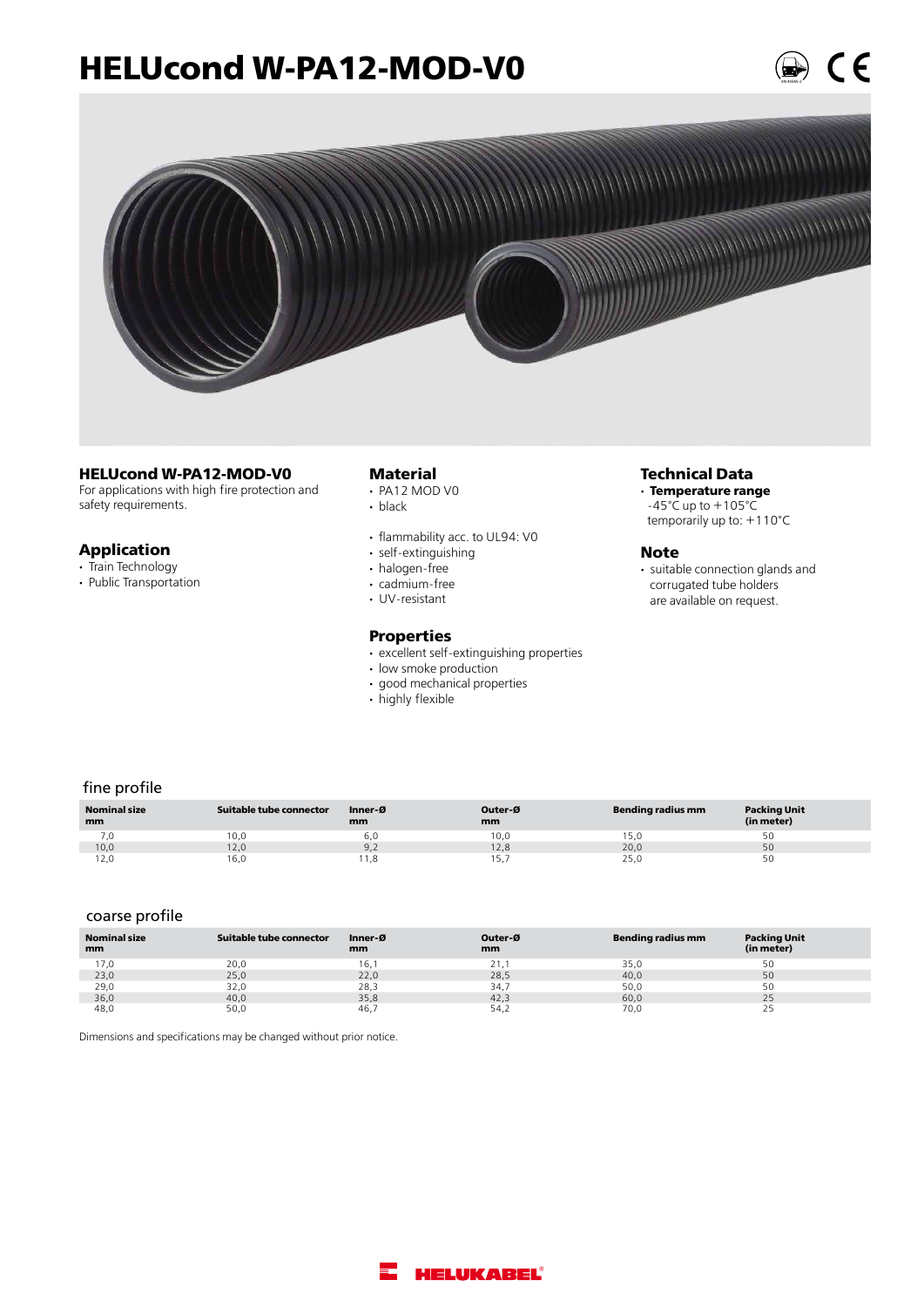### **HELUcond W-PA12-MOD-V0**



#### **HELUcond W-PA12-MOD-V0**

For applications with high fire protection and safety requirements.

#### **Application**

- **·** Train Technology
- **·** Public Transportation

#### **Material**

- **·**  PA12 MOD V0
- black
- flammability acc. to UL94: V0
- self-extinguishing
- halogen-free
- cadmium-free
- UV-resistant

#### **Properties**

- excellent self-extinguishing properties
- low smoke production
- good mechanical properties
- **·**  highly flexible

#### **Technical Data**

**· Temperature range**  $-45^{\circ}$ C up to  $+105^{\circ}$ C temporarily up to: +110°C

#### **Note**

**·** suitable connection glands and corrugated tube holders are available on request.

EN 45545-2

#### fine profile

| <b>Nominal size</b><br>mm | Suitable tube connector | Inner-Ø<br>mm | Outer-Ø<br>mm | Bending radius mm | <b>Packing Unit</b><br>(in meter) |
|---------------------------|-------------------------|---------------|---------------|-------------------|-----------------------------------|
| 7,0                       | 10,0                    | 6.0           | 10.0          | . 5,0             |                                   |
| 10,0                      | 12,0                    | 9,2           | 12,8          | 20,0              | 50                                |
| 12,0                      | 16,0                    | 1,8           | 15.           | 25,0              |                                   |

#### coarse profile

| <b>Nominal size</b><br>mm | Suitable tube connector | Inner-Ø<br>mm | Outer-Ø<br>mm | Bending radius mm | <b>Packing Unit</b><br>(in meter) |
|---------------------------|-------------------------|---------------|---------------|-------------------|-----------------------------------|
| 17,0                      | 20,0                    | 16.           | 21.1          | 35,0              | 50                                |
| 23,0                      | 25,0                    | 22,0          | 28,5          | 40,0              | 50                                |
| 29,0                      | 32,0                    | 28,3          | 34.7          | 50,0              | 50                                |
| 36,0                      | 40,0                    | 35,8          | 42,3          | 60,0              | 25                                |
| 48,0                      | 50,0                    | 46.           | 54.2          | 70,0              | دے                                |

Dimensions and specifications may be changed without prior notice.